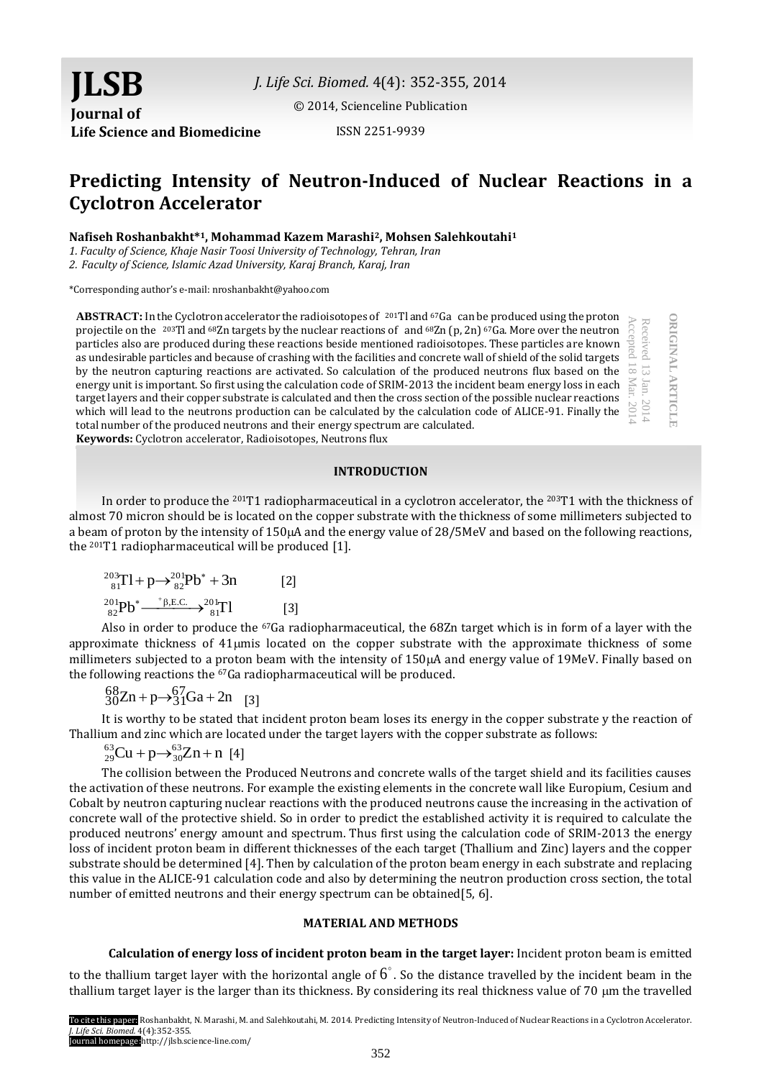**JLSB Journal of Life Science and Biomedicine**

*J. Life Sci. Biomed.* 4(4): 352-355, 2014

[© 2014, Scienceline Publication](http://www.science-line.com/index/)

ISSN 2251-9939

# **Predicting Intensity of Neutron-Induced of Nuclear Reactions in a Cyclotron Accelerator**

**Nafiseh Roshanbakht\* <sup>1</sup>, Mohammad Kazem Marashi2, Mohsen Salehkoutahi<sup>1</sup>**

*1. Faculty of Science, Khaje Nasir Toosi University of Technology, Tehran, Iran*

*2. Faculty of Science, Islamic Azad University, Karaj Branch, Karaj, Iran*

\*Corresponding author's e-mail: nroshanbakht@yahoo.com

**ABSTRACT:** In the Cyclotron accelerator the radioisotopes of  $201$ Tl and  $67$ Ga can be produced using the proton projectile on the <sup>203</sup>Tl and <sup>68</sup>Zn targets by the nuclear reactions of and <sup>68</sup>Zn (p, 2n) <sup>67</sup>Ga. More over the neutron particles also are produced during these reactions beside mentioned radioisotopes. These particles are known as undesirable particles and because of crashing with the facilities and concrete wall of shield of the solid targets by the neutron capturing reactions are activated. So calculation of the produced neutrons flux based on the energy unit is important. So first using the calculation code of SRIM-2013 the incident beam energy loss in each target layers and their copper substrate is calculated and then the cross section of the possible nuclear reactions which will lead to the neutrons production can be calculated by the calculation code of ALICE-91. Finally the total number of the produced neutrons and their energy spectrum are calculated. **Keywords:** Cyclotron accelerator, Radioisotopes, Neutrons flux Accepted 18 Mar. 2014

#### **INTRODUCTION**

**ORIGINAL ARTICLE**

**DRIGINAL ARTICLE** 

Received 13

Jan. 2014

113 Jan.

In order to produce the 201T1 radiopharmaceutical in a cyclotron accelerator, the 203T1 with the thickness of almost 70 micron should be is located on the copper substrate with the thickness of some millimeters subjected to a beam of proton by the intensity of  $150\mu A$  and the energy value of  $28/5\text{MeV}$  and based on the following reactions, the 201T1 radiopharmaceutical will be produced [1].

$$
{}^{203}_{81}T1 + p \rightarrow {}^{201}_{82}Pb^* + 3n
$$
 [2]  

$$
{}^{201}_{82}Pb^* \xrightarrow{+ \beta, E.C.} {}^{201}_{81}T1
$$
 [3]

Also in order to produce the 67Ga radiopharmaceutical, the 68Zn target which is in form of a layer with the approximate thickness of 41mis located on the copper substrate with the approximate thickness of some millimeters subjected to a proton beam with the intensity of  $150\mu A$  and energy value of 19MeV. Finally based on the following reactions the 67Ga radiopharmaceutical will be produced.

$$
{}_{30}^{68}\text{Zn} + p \rightarrow {}_{31}^{67}\text{Ga} + 2n \quad [3]
$$

It is worthy to be stated that incident proton beam loses its energy in the copper substrate y the reaction of Thallium and zinc which are located under the target layers with the copper substrate as follows:

$$
^{63}_{29}
$$
Cu + p $\rightarrow$   $^{63}_{30}$ Zn + n [4]

The collision between the Produced Neutrons and concrete walls of the target shield and its facilities causes the activation of these neutrons. For example the existing elements in the concrete wall like Europium, Cesium and Cobalt by neutron capturing nuclear reactions with the produced neutrons cause the increasing in the activation of concrete wall of the protective shield. So in order to predict the established activity it is required to calculate the produced neutrons' energy amount and spectrum. Thus first using the calculation code of SRIM-2013 the energy loss of incident proton beam in different thicknesses of the each target (Thallium and Zinc) layers and the copper substrate should be determined [4]. Then by calculation of the proton beam energy in each substrate and replacing this value in the ALICE-91 calculation code and also by determining the neutron production cross section, the total number of emitted neutrons and their energy spectrum can be obtained[5, 6].

#### **MATERIAL AND METHODS**

# **Calculation of energy loss of incident proton beam in the target layer:** Incident proton beam is emitted

to the thallium target layer with the horizontal angle of  $6^{\circ}$ . So the distance travelled by the incident beam in the thallium target layer is the larger than its thickness. By considering its real thickness value of 70  $\mu$ m the travelled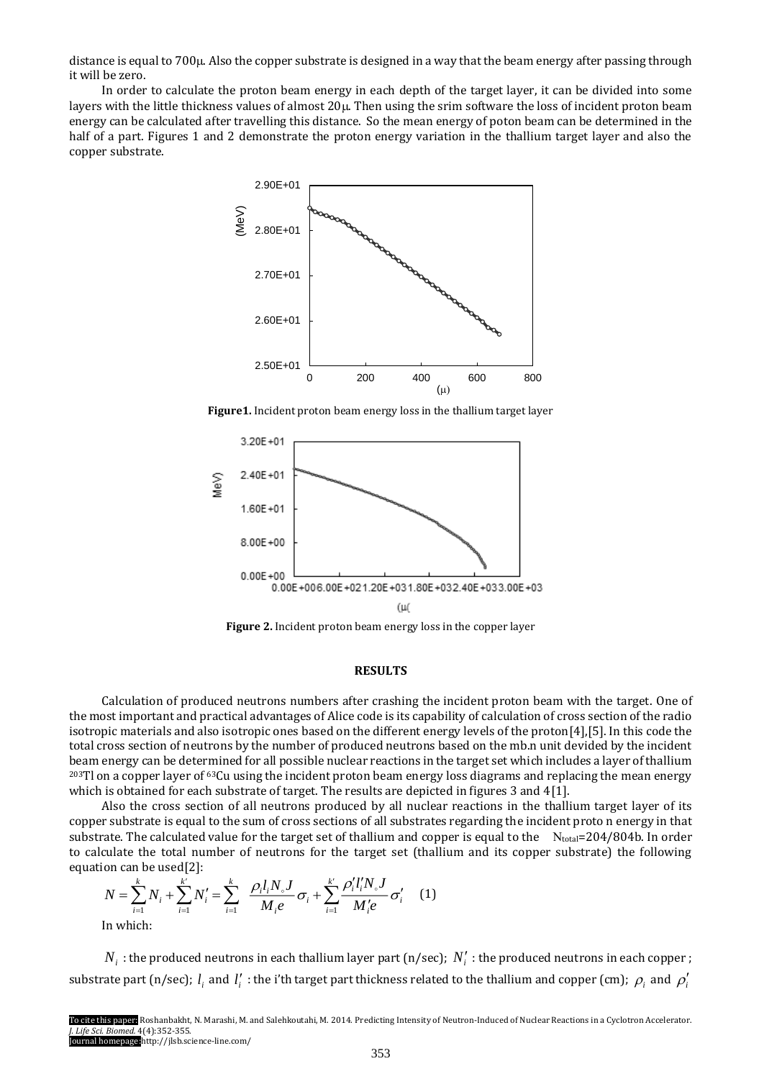distance is equal to  $700\mu$ . Also the copper substrate is designed in a way that the beam energy after passing through it will be zero.

In order to calculate the proton beam energy in each depth of the target layer, it can be divided into some layers with the little thickness values of almost 20 $\mu$ . Then using the srim software the loss of incident proton beam energy can be calculated after travelling this distance. So the mean energy of poton beam can be determined in the half of a part. Figures 1 and 2 demonstrate the proton energy variation in the thallium target layer and also the copper substrate.



**Figure1.** Incident proton beam energy loss in the thallium target layer



**Figure 2.** Incident proton beam energy loss in the copper layer

#### **RESULTS**

Calculation of produced neutrons numbers after crashing the incident proton beam with the target. One of the most important and practical advantages of Alice code is its capability of calculation of cross section of the radio isotropic materials and also isotropic ones based on the different energy levels of the proton[4],[5]. In this code the total cross section of neutrons by the number of produced neutrons based on the mb.n unit devided by the incident beam energy can be determined for all possible nuclear reactions in the target set which includes a layer of thallium <sup>203</sup>Tl on a copper layer of <sup>63</sup>Cu using the incident proton beam energy loss diagrams and replacing the mean energy which is obtained for each substrate of target. The results are depicted in figures 3 and 4[1].

Also the cross section of all neutrons produced by all nuclear reactions in the thallium target layer of its copper substrate is equal to the sum of cross sections of all substrates regarding the incident proto n energy in that substrate. The calculated value for the target set of thallium and copper is equal to the  $N_{total}=204/804b$ . In order to calculate the total number of neutrons for the target set (thallium and its copper substrate) the following equation can be used[2]:

$$
N = \sum_{i=1}^{k} N_i + \sum_{i=1}^{k'} N'_i = \sum_{i=1}^{k} \frac{\rho_i l_i N_s J}{M_i e} \sigma_i + \sum_{i=1}^{k'} \frac{\rho'_i l'_i N_s J}{M'_i e} \sigma'_i \tag{1}
$$
  
In which:

 $N_i$ : the produced neutrons in each thallium layer part (n/sec);  $N_i'$ : the produced neutrons in each copper; substrate part (n/sec);  $l_i$  and  $l'_i$  : the i'th target part thickness related to the thallium and copper (cm);  $\rho_i$  and  $\rho'_i$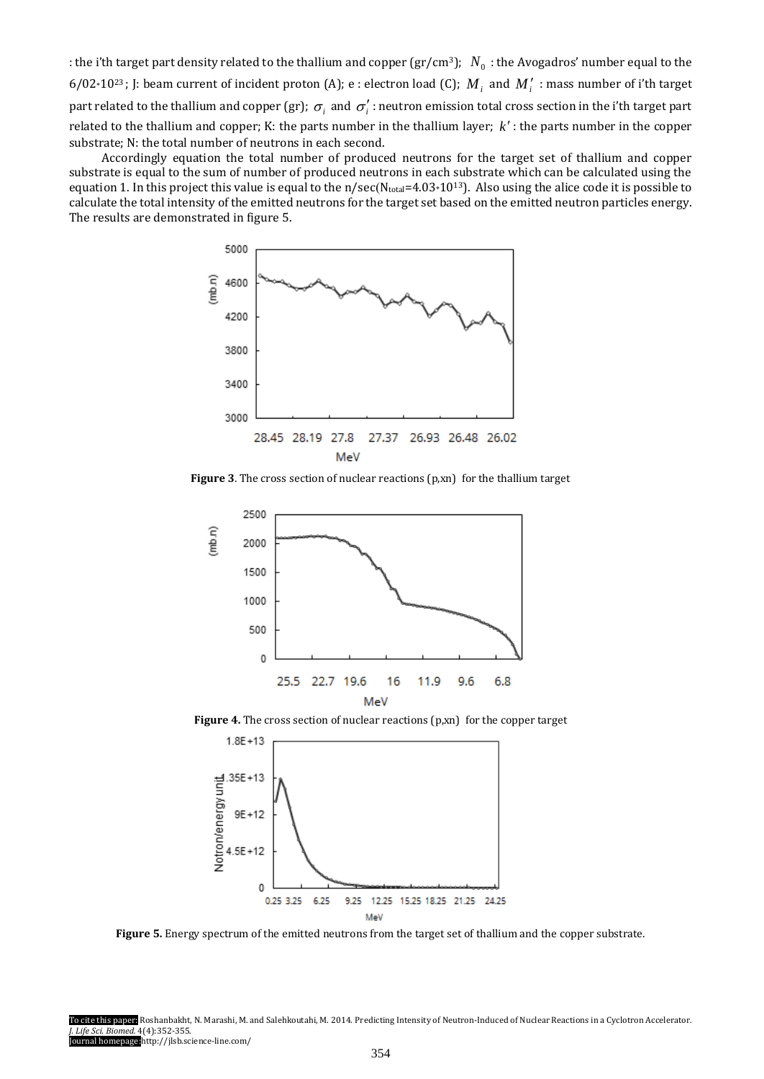: the i'th target part density related to the thallium and copper (gr/cm<sup>3</sup>);  $N_0$  : the Avogadros' number equal to the 6/02\*10<sup>23</sup>; J: beam current of incident proton (A); e : electron load (C);  $M_i$  and  $M'_i$  : mass number of i'th target part related to the thallium and copper (gr);  $\sigma_i$  and  $\sigma'_i$  : neutron emission total cross section in the i'th target part related to the thallium and copper; K: the parts number in the thallium layer;  $k'$ : the parts number in the copper substrate; N: the total number of neutrons in each second.

Accordingly equation the total number of produced neutrons for the target set of thallium and copper substrate is equal to the sum of number of produced neutrons in each substrate which can be calculated using the equation 1. In this project this value is equal to the  $n/sec(N_{total}=4.03*10^{13})$ . Also using the alice code it is possible to calculate the total intensity of the emitted neutrons for the target set based on the emitted neutron particles energy. The results are demonstrated in figure 5.



**Figure 3**. The cross section of nuclear reactions (p,xn) for the thallium target



Figure 4. The cross section of nuclear reactions (p,xn) for the copper target



**Figure 5.** Energy spectrum of the emitted neutrons from the target set of thallium and the copper substrate.